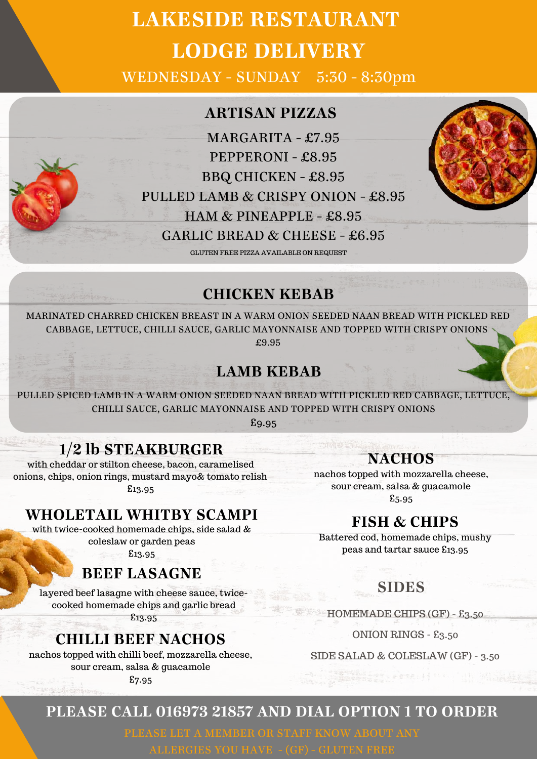# **LAKESIDE RESTAURANT LODGE DELIVERY**

WEDNESDAY - SUNDAY 5:30 - 8:30pm

### **ARTISAN PIZZAS**

MARGARITA - £7.95 PEPPERONI - £8.95 BBQ CHICKEN - £8.95 PULLED LAMB & CRISPY ONION - £8.95 HAM & PINEAPPLE - £8.95 GARLIC BREAD & CHEESE - £6.95 GLUTEN FREE PIZZA AVAILABLE ON REQUEST



## **CHICKEN KEBAB**

MARINATED CHARRED CHICKEN BREAST IN A WARM ONION SEEDED NAAN BREAD WITH PICKLED RED CABBAGE, LETTUCE, CHILLI SAUCE, GARLIC MAYONNAISE AND TOPPED WITH CRISPY ONIONS £9.95

## **LAMB KEBAB**

PULLED SPICED LAMB IN A WARM ONION SEEDED NAAN BREAD WITH PICKLED RED CABBAGE, LETTUCE, CHILLI SAUCE, GARLIC MAYONNAISE AND TOPPED WITH CRISPY ONIONS

£9.95

# **1/2 lb STEAKBURGER**

with cheddar or stilton cheese, bacon, caramelised onions, chips, onion rings, mustard mayo& tomato relish £13.95

**WHOLETAIL WHITBY SCAMPI**

with twice-cooked homemade chips, side salad & coleslaw or garden peas

£13.95

# **BEEF LASAGNE**

layered beef lasagne with cheese sauce, twicecooked homemade chips and garlic bread

£13.95

## **CHILLI BEEF NACHOS**

nachos topped with chilli beef, mozzarella cheese, sour cream, salsa & guacamole

£7.95

### **NACHOS**

nachos topped with mozzarella cheese, sour cream, salsa & guacamole £5.95

## **FISH & CHIPS**

Battered cod, homemade chips, mushy peas and tartar sauce £13.95

## **SIDES**

HOMEMADE CHIPS (GF) - £3.50

ONION RINGS - £3.50

SIDE SALAD & COLESLAW (GF) - 3.50

## **PLEASE CALL 016973 21857 AND DIAL OPTION 1 TO ORDER**

ALLERGIES YOU HAVE - (GF) - GLUTEN FREE